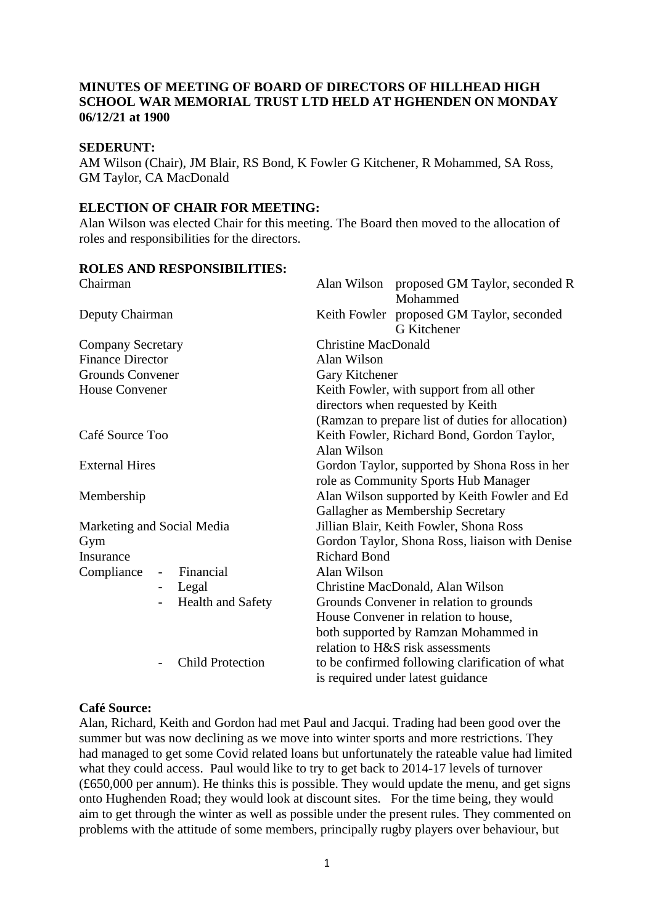## **MINUTES OF MEETING OF BOARD OF DIRECTORS OF HILLHEAD HIGH SCHOOL WAR MEMORIAL TRUST LTD HELD AT HGHENDEN ON MONDAY 06/12/21 at 1900**

### **SEDERUNT:**

AM Wilson (Chair), JM Blair, RS Bond, K Fowler G Kitchener, R Mohammed, SA Ross, GM Taylor, CA MacDonald

## **ELECTION OF CHAIR FOR MEETING:**

Alan Wilson was elected Chair for this meeting. The Board then moved to the allocation of roles and responsibilities for the directors.

## **ROLES AND RESPONSIBILITIES:**

| Chairman                   |                          |                          | Alan Wilson proposed GM Taylor, seconded R<br>Mohammed                                |                                                                                      |
|----------------------------|--------------------------|--------------------------|---------------------------------------------------------------------------------------|--------------------------------------------------------------------------------------|
| Deputy Chairman            |                          |                          |                                                                                       | Keith Fowler proposed GM Taylor, seconded<br>G Kitchener                             |
| <b>Company Secretary</b>   |                          |                          | <b>Christine MacDonald</b>                                                            |                                                                                      |
| <b>Finance Director</b>    |                          |                          | Alan Wilson                                                                           |                                                                                      |
| <b>Grounds Convener</b>    |                          |                          | Gary Kitchener                                                                        |                                                                                      |
| <b>House Convener</b>      |                          |                          | Keith Fowler, with support from all other                                             |                                                                                      |
|                            |                          |                          | directors when requested by Keith                                                     |                                                                                      |
|                            |                          |                          | (Ramzan to prepare list of duties for allocation)                                     |                                                                                      |
| Café Source Too            |                          |                          | Keith Fowler, Richard Bond, Gordon Taylor,                                            |                                                                                      |
|                            |                          |                          | Alan Wilson                                                                           |                                                                                      |
| <b>External Hires</b>      |                          |                          | Gordon Taylor, supported by Shona Ross in her<br>role as Community Sports Hub Manager |                                                                                      |
| Membership                 |                          |                          | Alan Wilson supported by Keith Fowler and Ed                                          |                                                                                      |
|                            |                          |                          | Gallagher as Membership Secretary                                                     |                                                                                      |
| Marketing and Social Media |                          |                          | Jillian Blair, Keith Fowler, Shona Ross                                               |                                                                                      |
| Gym                        |                          |                          | Gordon Taylor, Shona Ross, liaison with Denise                                        |                                                                                      |
| Insurance                  |                          |                          | <b>Richard Bond</b>                                                                   |                                                                                      |
| Compliance                 | $\overline{\phantom{a}}$ | Financial                | Alan Wilson                                                                           |                                                                                      |
|                            | $\overline{\phantom{0}}$ | Legal                    |                                                                                       | Christine MacDonald, Alan Wilson                                                     |
|                            | $\overline{\phantom{0}}$ | <b>Health and Safety</b> |                                                                                       | Grounds Convener in relation to grounds                                              |
|                            |                          |                          |                                                                                       | House Convener in relation to house,                                                 |
|                            |                          |                          |                                                                                       | both supported by Ramzan Mohammed in                                                 |
|                            |                          |                          |                                                                                       | relation to H&S risk assessments                                                     |
|                            | $\overline{\phantom{0}}$ | <b>Child Protection</b>  |                                                                                       | to be confirmed following clarification of what<br>is required under latest guidance |

## **Café Source:**

Alan, Richard, Keith and Gordon had met Paul and Jacqui. Trading had been good over the summer but was now declining as we move into winter sports and more restrictions. They had managed to get some Covid related loans but unfortunately the rateable value had limited what they could access. Paul would like to try to get back to 2014-17 levels of turnover (£650,000 per annum). He thinks this is possible. They would update the menu, and get signs onto Hughenden Road; they would look at discount sites. For the time being, they would aim to get through the winter as well as possible under the present rules. They commented on problems with the attitude of some members, principally rugby players over behaviour, but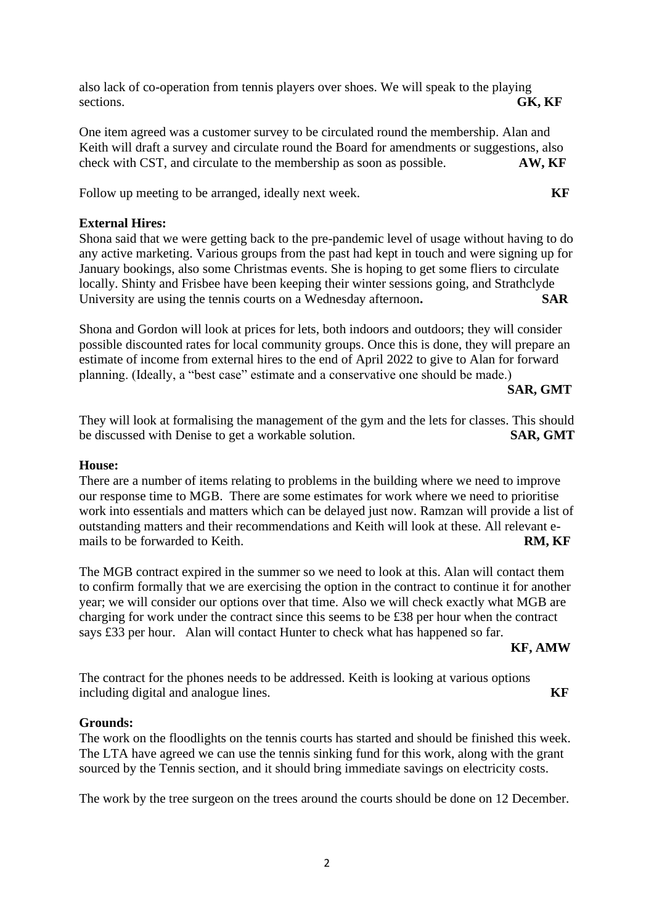also lack of co-operation from tennis players over shoes. We will speak to the playing sections. **GK, KF** 

One item agreed was a customer survey to be circulated round the membership. Alan and Keith will draft a survey and circulate round the Board for amendments or suggestions, also check with CST, and circulate to the membership as soon as possible. **AW, KF**

Follow up meeting to be arranged, ideally next week. **KF** 

# **External Hires:**

Shona said that we were getting back to the pre-pandemic level of usage without having to do any active marketing. Various groups from the past had kept in touch and were signing up for January bookings, also some Christmas events. She is hoping to get some fliers to circulate locally. Shinty and Frisbee have been keeping their winter sessions going, and Strathclyde University are using the tennis courts on a Wednesday afternoon. SAR

Shona and Gordon will look at prices for lets, both indoors and outdoors; they will consider possible discounted rates for local community groups. Once this is done, they will prepare an estimate of income from external hires to the end of April 2022 to give to Alan for forward planning. (Ideally, a "best case" estimate and a conservative one should be made.)

**SAR, GMT**

They will look at formalising the management of the gym and the lets for classes. This should be discussed with Denise to get a workable solution. **SAR, GMT**

## **House:**

There are a number of items relating to problems in the building where we need to improve our response time to MGB. There are some estimates for work where we need to prioritise work into essentials and matters which can be delayed just now. Ramzan will provide a list of outstanding matters and their recommendations and Keith will look at these. All relevant emails to be forwarded to Keith. **RM, KF** 

The MGB contract expired in the summer so we need to look at this. Alan will contact them to confirm formally that we are exercising the option in the contract to continue it for another year; we will consider our options over that time. Also we will check exactly what MGB are charging for work under the contract since this seems to be £38 per hour when the contract says £33 per hour. Alan will contact Hunter to check what has happened so far.

## **KF, AMW**

The contract for the phones needs to be addressed. Keith is looking at various options including digital and analogue lines.

# **Grounds:**

The work on the floodlights on the tennis courts has started and should be finished this week. The LTA have agreed we can use the tennis sinking fund for this work, along with the grant sourced by the Tennis section, and it should bring immediate savings on electricity costs.

The work by the tree surgeon on the trees around the courts should be done on 12 December.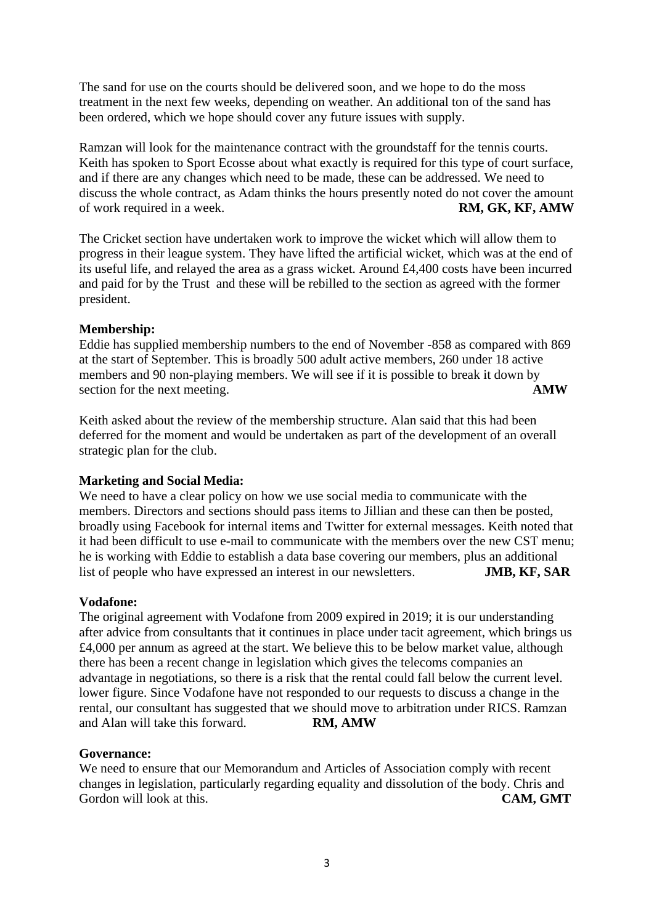The sand for use on the courts should be delivered soon, and we hope to do the moss treatment in the next few weeks, depending on weather. An additional ton of the sand has been ordered, which we hope should cover any future issues with supply.

Ramzan will look for the maintenance contract with the groundstaff for the tennis courts. Keith has spoken to Sport Ecosse about what exactly is required for this type of court surface, and if there are any changes which need to be made, these can be addressed. We need to discuss the whole contract, as Adam thinks the hours presently noted do not cover the amount of work required in a week. **RM, GK, KF, AMW**

The Cricket section have undertaken work to improve the wicket which will allow them to progress in their league system. They have lifted the artificial wicket, which was at the end of its useful life, and relayed the area as a grass wicket. Around £4,400 costs have been incurred and paid for by the Trust and these will be rebilled to the section as agreed with the former president.

### **Membership:**

Eddie has supplied membership numbers to the end of November -858 as compared with 869 at the start of September. This is broadly 500 adult active members, 260 under 18 active members and 90 non-playing members. We will see if it is possible to break it down by section for the next meeting. **AMW** 

Keith asked about the review of the membership structure. Alan said that this had been deferred for the moment and would be undertaken as part of the development of an overall strategic plan for the club.

#### **Marketing and Social Media:**

We need to have a clear policy on how we use social media to communicate with the members. Directors and sections should pass items to Jillian and these can then be posted, broadly using Facebook for internal items and Twitter for external messages. Keith noted that it had been difficult to use e-mail to communicate with the members over the new CST menu; he is working with Eddie to establish a data base covering our members, plus an additional list of people who have expressed an interest in our newsletters. **JMB, KF, SAR**

#### **Vodafone:**

The original agreement with Vodafone from 2009 expired in 2019; it is our understanding after advice from consultants that it continues in place under tacit agreement, which brings us £4,000 per annum as agreed at the start. We believe this to be below market value, although there has been a recent change in legislation which gives the telecoms companies an advantage in negotiations, so there is a risk that the rental could fall below the current level. lower figure. Since Vodafone have not responded to our requests to discuss a change in the rental, our consultant has suggested that we should move to arbitration under RICS. Ramzan and Alan will take this forward. **RM, AMW**

#### **Governance:**

We need to ensure that our Memorandum and Articles of Association comply with recent changes in legislation, particularly regarding equality and dissolution of the body. Chris and Gordon will look at this. **CAM, GMT**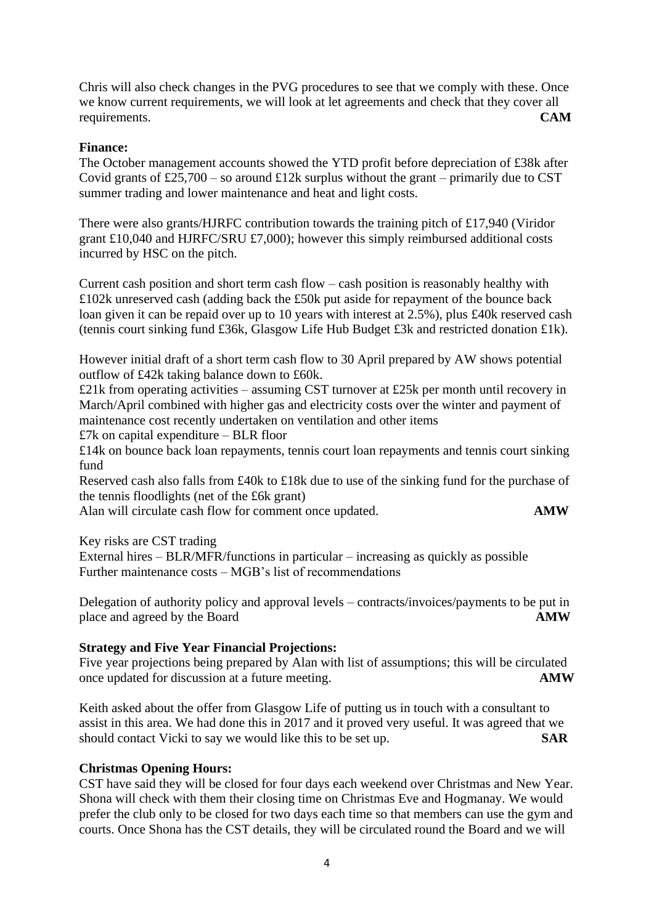Chris will also check changes in the PVG procedures to see that we comply with these. Once we know current requirements, we will look at let agreements and check that they cover all requirements. **CAM**

### **Finance:**

The October management accounts showed the YTD profit before depreciation of £38k after Covid grants of £25,700 – so around £12k surplus without the grant – primarily due to CST summer trading and lower maintenance and heat and light costs.

There were also grants/HJRFC contribution towards the training pitch of £17,940 (Viridor grant £10,040 and HJRFC/SRU £7,000); however this simply reimbursed additional costs incurred by HSC on the pitch.

Current cash position and short term cash flow – cash position is reasonably healthy with £102k unreserved cash (adding back the £50k put aside for repayment of the bounce back loan given it can be repaid over up to 10 years with interest at 2.5%), plus £40k reserved cash (tennis court sinking fund £36k, Glasgow Life Hub Budget £3k and restricted donation £1k).

However initial draft of a short term cash flow to 30 April prepared by AW shows potential outflow of £42k taking balance down to £60k.

£21k from operating activities – assuming CST turnover at £25k per month until recovery in March/April combined with higher gas and electricity costs over the winter and payment of maintenance cost recently undertaken on ventilation and other items £7k on capital expenditure – BLR floor

£14k on bounce back loan repayments, tennis court loan repayments and tennis court sinking fund

Reserved cash also falls from £40k to £18k due to use of the sinking fund for the purchase of the tennis floodlights (net of the £6k grant)

Alan will circulate cash flow for comment once updated. **AMW** 

Key risks are CST trading

External hires – BLR/MFR/functions in particular – increasing as quickly as possible Further maintenance costs – MGB's list of recommendations

Delegation of authority policy and approval levels – contracts/invoices/payments to be put in place and agreed by the Board **AMW** 

## **Strategy and Five Year Financial Projections:**

Five year projections being prepared by Alan with list of assumptions; this will be circulated once updated for discussion at a future meeting. **AMW**

Keith asked about the offer from Glasgow Life of putting us in touch with a consultant to assist in this area. We had done this in 2017 and it proved very useful. It was agreed that we should contact Vicki to say we would like this to be set up. **SAR** 

#### **Christmas Opening Hours:**

CST have said they will be closed for four days each weekend over Christmas and New Year. Shona will check with them their closing time on Christmas Eve and Hogmanay. We would prefer the club only to be closed for two days each time so that members can use the gym and courts. Once Shona has the CST details, they will be circulated round the Board and we will